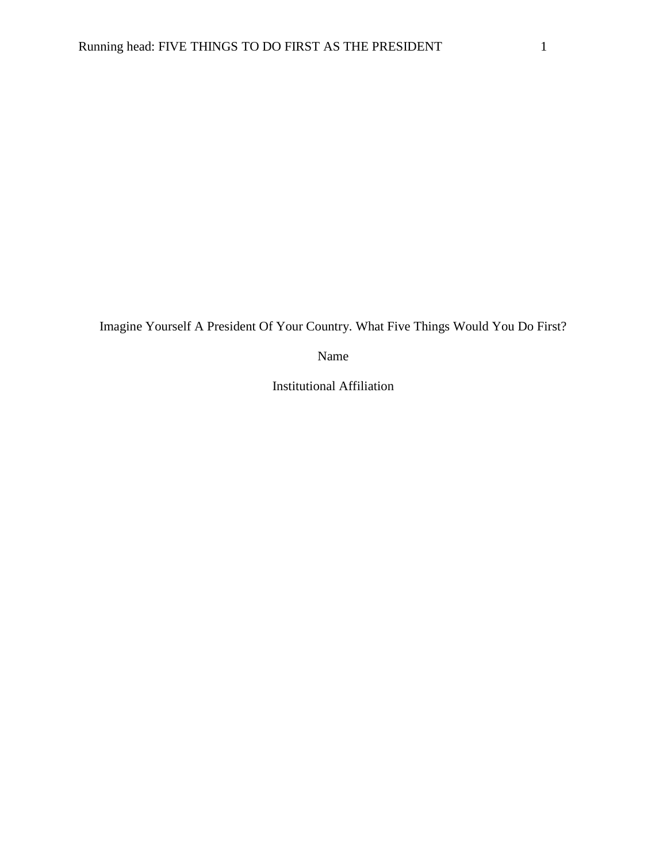Imagine Yourself A President Of Your Country. What Five Things Would You Do First?

Name

Institutional Affiliation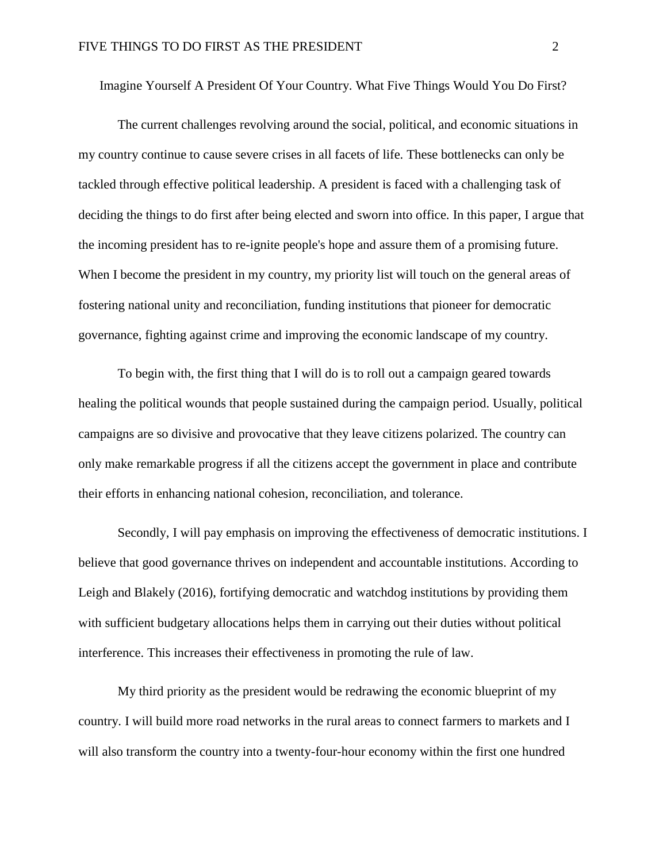Imagine Yourself A President Of Your Country. What Five Things Would You Do First?

The current challenges revolving around the social, political, and economic situations in my country continue to cause severe crises in all facets of life. These bottlenecks can only be tackled through effective political leadership. A president is faced with a challenging task of deciding the things to do first after being elected and sworn into office. In this paper, I argue that the incoming president has to re-ignite people's hope and assure them of a promising future. When I become the president in my country, my priority list will touch on the general areas of fostering national unity and reconciliation, funding institutions that pioneer for democratic governance, fighting against crime and improving the economic landscape of my country.

To begin with, the first thing that I will do is to roll out a campaign geared towards healing the political wounds that people sustained during the campaign period. Usually, political campaigns are so divisive and provocative that they leave citizens polarized. The country can only make remarkable progress if all the citizens accept the government in place and contribute their efforts in enhancing national cohesion, reconciliation, and tolerance.

Secondly, I will pay emphasis on improving the effectiveness of democratic institutions. I believe that good governance thrives on independent and accountable institutions. According to Leigh and Blakely (2016), fortifying democratic and watchdog institutions by providing them with sufficient budgetary allocations helps them in carrying out their duties without political interference. This increases their effectiveness in promoting the rule of law.

My third priority as the president would be redrawing the economic blueprint of my country. I will build more road networks in the rural areas to connect farmers to markets and I will also transform the country into a twenty-four-hour economy within the first one hundred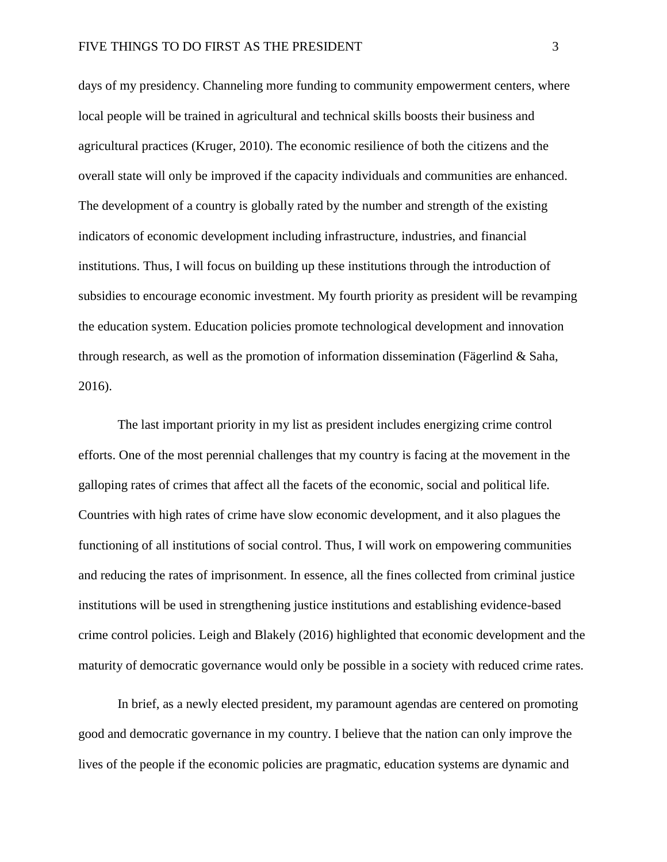days of my presidency. Channeling more funding to community empowerment centers, where local people will be trained in agricultural and technical skills boosts their business and agricultural practices (Kruger, 2010). The economic resilience of both the citizens and the overall state will only be improved if the capacity individuals and communities are enhanced. The development of a country is globally rated by the number and strength of the existing indicators of economic development including infrastructure, industries, and financial institutions. Thus, I will focus on building up these institutions through the introduction of subsidies to encourage economic investment. My fourth priority as president will be revamping the education system. Education policies promote technological development and innovation through research, as well as the promotion of information dissemination (Fägerlind & Saha, 2016).

The last important priority in my list as president includes energizing crime control efforts. One of the most perennial challenges that my country is facing at the movement in the galloping rates of crimes that affect all the facets of the economic, social and political life. Countries with high rates of crime have slow economic development, and it also plagues the functioning of all institutions of social control. Thus, I will work on empowering communities and reducing the rates of imprisonment. In essence, all the fines collected from criminal justice institutions will be used in strengthening justice institutions and establishing evidence-based crime control policies. Leigh and Blakely (2016) highlighted that economic development and the maturity of democratic governance would only be possible in a society with reduced crime rates.

In brief, as a newly elected president, my paramount agendas are centered on promoting good and democratic governance in my country. I believe that the nation can only improve the lives of the people if the economic policies are pragmatic, education systems are dynamic and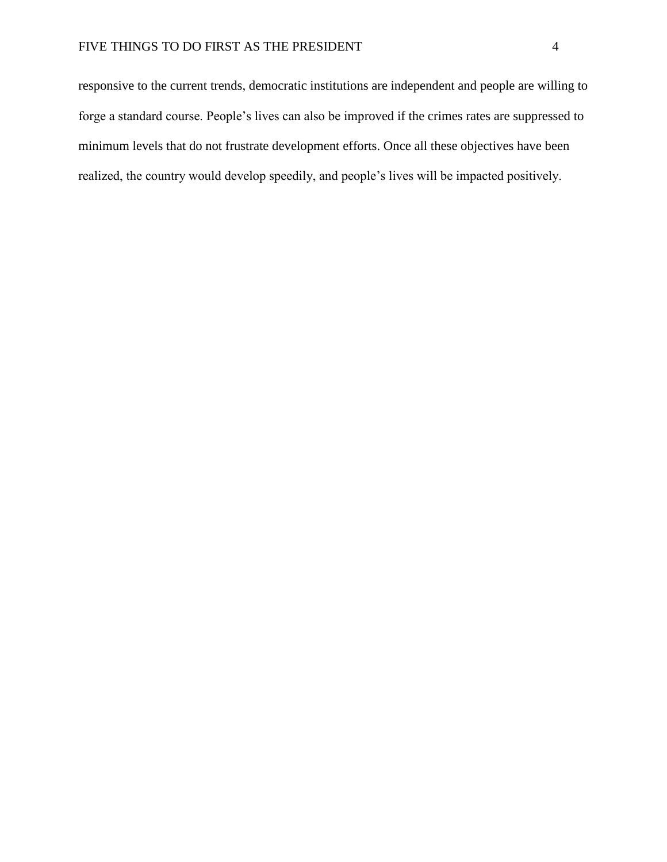responsive to the current trends, democratic institutions are independent and people are willing to forge a standard course. People's lives can also be improved if the crimes rates are suppressed to minimum levels that do not frustrate development efforts. Once all these objectives have been realized, the country would develop speedily, and people's lives will be impacted positively.